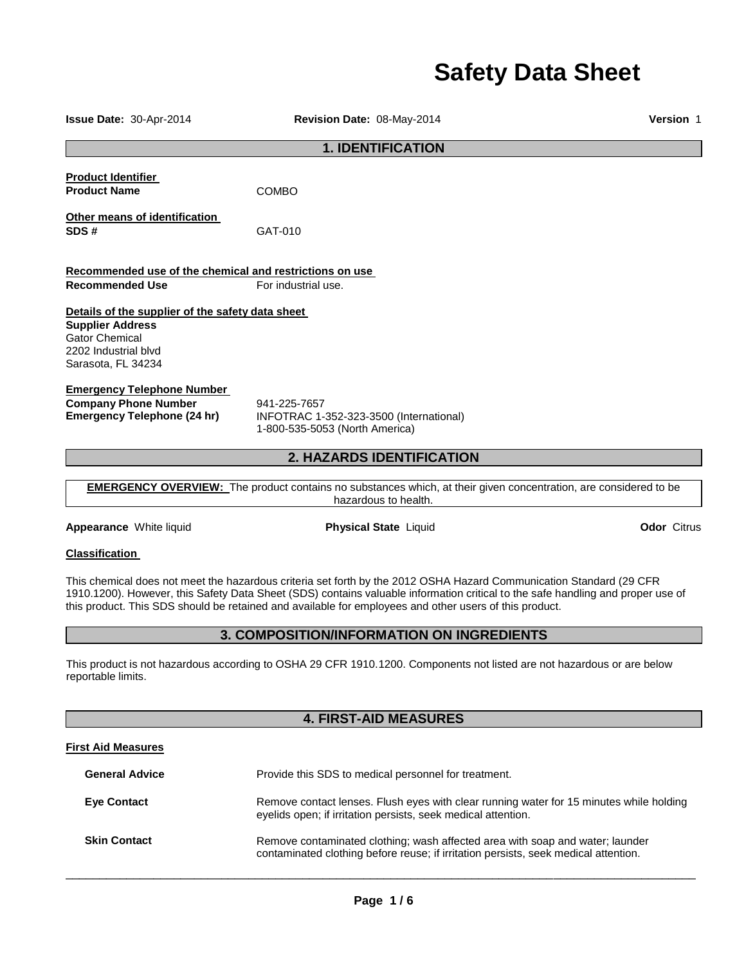# **Safety Data Sheet**

| <b>Issue Date: 30-Apr-2014</b>                                                                                                                     | Revision Date: 08-May-2014                                                                                                                                                                                                                                                                                                                                       | <b>Version 1</b>   |  |
|----------------------------------------------------------------------------------------------------------------------------------------------------|------------------------------------------------------------------------------------------------------------------------------------------------------------------------------------------------------------------------------------------------------------------------------------------------------------------------------------------------------------------|--------------------|--|
|                                                                                                                                                    | <b>1. IDENTIFICATION</b>                                                                                                                                                                                                                                                                                                                                         |                    |  |
| <b>Product Identifier</b><br><b>Product Name</b>                                                                                                   | <b>COMBO</b>                                                                                                                                                                                                                                                                                                                                                     |                    |  |
| Other means of identification<br>SDS#                                                                                                              | GAT-010                                                                                                                                                                                                                                                                                                                                                          |                    |  |
| Recommended use of the chemical and restrictions on use                                                                                            |                                                                                                                                                                                                                                                                                                                                                                  |                    |  |
| <b>Recommended Use</b>                                                                                                                             | For industrial use.                                                                                                                                                                                                                                                                                                                                              |                    |  |
| Details of the supplier of the safety data sheet<br><b>Supplier Address</b><br><b>Gator Chemical</b><br>2202 Industrial blyd<br>Sarasota, FL 34234 |                                                                                                                                                                                                                                                                                                                                                                  |                    |  |
| <b>Emergency Telephone Number</b>                                                                                                                  |                                                                                                                                                                                                                                                                                                                                                                  |                    |  |
| <b>Company Phone Number</b><br><b>Emergency Telephone (24 hr)</b>                                                                                  | 941-225-7657<br>INFOTRAC 1-352-323-3500 (International)<br>1-800-535-5053 (North America)                                                                                                                                                                                                                                                                        |                    |  |
|                                                                                                                                                    | <b>2. HAZARDS IDENTIFICATION</b>                                                                                                                                                                                                                                                                                                                                 |                    |  |
|                                                                                                                                                    | <b>EMERGENCY OVERVIEW:</b> The product contains no substances which, at their given concentration, are considered to be<br>hazardous to health.                                                                                                                                                                                                                  |                    |  |
| Appearance White liquid                                                                                                                            | <b>Physical State Liquid</b>                                                                                                                                                                                                                                                                                                                                     | <b>Odor Citrus</b> |  |
| <b>Classification</b>                                                                                                                              |                                                                                                                                                                                                                                                                                                                                                                  |                    |  |
|                                                                                                                                                    | This chemical does not meet the hazardous criteria set forth by the 2012 OSHA Hazard Communication Standard (29 CFR<br>1910.1200). However, this Safety Data Sheet (SDS) contains valuable information critical to the safe handling and proper use of<br>this product. This SDS should be retained and available for employees and other users of this product. |                    |  |
|                                                                                                                                                    | <b>3. COMPOSITION/INFORMATION ON INGREDIENTS</b>                                                                                                                                                                                                                                                                                                                 |                    |  |
| reportable limits.                                                                                                                                 | This product is not hazardous according to OSHA 29 CFR 1910.1200. Components not listed are not hazardous or are below                                                                                                                                                                                                                                           |                    |  |
|                                                                                                                                                    | <b>4. FIRST-AID MEASURES</b>                                                                                                                                                                                                                                                                                                                                     |                    |  |
| <b>First Aid Measures</b>                                                                                                                          |                                                                                                                                                                                                                                                                                                                                                                  |                    |  |
| <b>General Advice</b>                                                                                                                              | Provide this SDS to medical personnel for treatment.                                                                                                                                                                                                                                                                                                             |                    |  |
| <b>Eye Contact</b>                                                                                                                                 | Remove contact lenses. Flush eyes with clear running water for 15 minutes while holding<br>eyelids open; if irritation persists, seek medical attention.                                                                                                                                                                                                         |                    |  |
| <b>Skin Contact</b>                                                                                                                                | Remove contaminated clothing; wash affected area with soap and water; launder<br>contaminated clothing before reuse; if irritation persists, seek medical attention.                                                                                                                                                                                             |                    |  |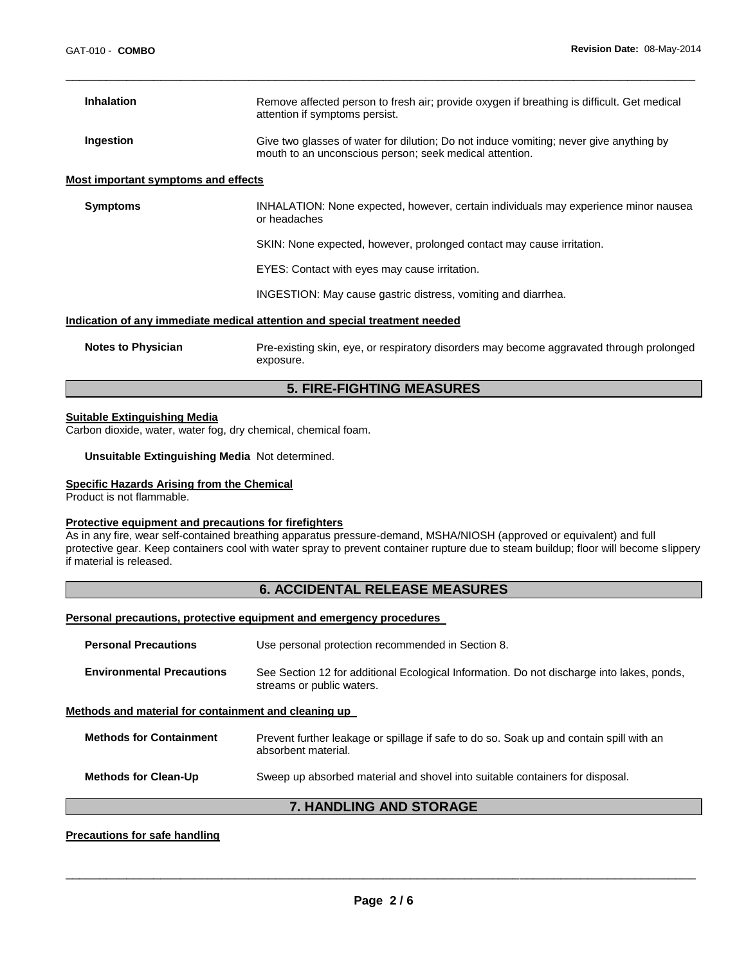| <b>Inhalation</b>                   | Remove affected person to fresh air; provide oxygen if breathing is difficult. Get medical<br>attention if symptoms persist.                      |
|-------------------------------------|---------------------------------------------------------------------------------------------------------------------------------------------------|
| Ingestion                           | Give two glasses of water for dilution; Do not induce vomiting; never give anything by<br>mouth to an unconscious person; seek medical attention. |
| Most important symptoms and effects |                                                                                                                                                   |
| <b>Symptoms</b>                     | INHALATION: None expected, however, certain individuals may experience minor nausea                                                               |

\_\_\_\_\_\_\_\_\_\_\_\_\_\_\_\_\_\_\_\_\_\_\_\_\_\_\_\_\_\_\_\_\_\_\_\_\_\_\_\_\_\_\_\_\_\_\_\_\_\_\_\_\_\_\_\_\_\_\_\_\_\_\_\_\_\_\_\_\_\_\_\_\_\_\_\_\_\_\_\_\_\_\_\_\_\_\_\_\_\_\_\_\_

SKIN: None expected, however, prolonged contact may cause irritation.

EYES: Contact with eyes may cause irritation.

INGESTION: May cause gastric distress, vomiting and diarrhea.

#### **Indication of any immediate medical attention and special treatment needed**

or headaches

**Notes to Physician** Pre-existing skin, eye, or respiratory disorders may become aggravated through prolonged exposure.

# **5. FIRE-FIGHTING MEASURES**

#### **Suitable Extinguishing Media**

Carbon dioxide, water, water fog, dry chemical, chemical foam.

#### **Unsuitable Extinguishing Media** Not determined.

#### **Specific Hazards Arising from the Chemical**

Product is not flammable.

#### **Protective equipment and precautions for firefighters**

As in any fire, wear self-contained breathing apparatus pressure-demand, MSHA/NIOSH (approved or equivalent) and full protective gear. Keep containers cool with water spray to prevent container rupture due to steam buildup; floor will become slippery if material is released.

# **6. ACCIDENTAL RELEASE MEASURES**

#### **Personal precautions, protective equipment and emergency procedures**

|                                                      | <b>7. HANDLING AND STORAGE</b>                                                                                         |  |  |
|------------------------------------------------------|------------------------------------------------------------------------------------------------------------------------|--|--|
| <b>Methods for Clean-Up</b>                          | Sweep up absorbed material and shovel into suitable containers for disposal.                                           |  |  |
| <b>Methods for Containment</b>                       | Prevent further leakage or spillage if safe to do so. Soak up and contain spill with an<br>absorbent material.         |  |  |
| Methods and material for containment and cleaning up |                                                                                                                        |  |  |
| <b>Environmental Precautions</b>                     | See Section 12 for additional Ecological Information. Do not discharge into lakes, ponds,<br>streams or public waters. |  |  |
| <b>Personal Precautions</b>                          | Use personal protection recommended in Section 8.                                                                      |  |  |
|                                                      |                                                                                                                        |  |  |

# **Precautions for safe handling**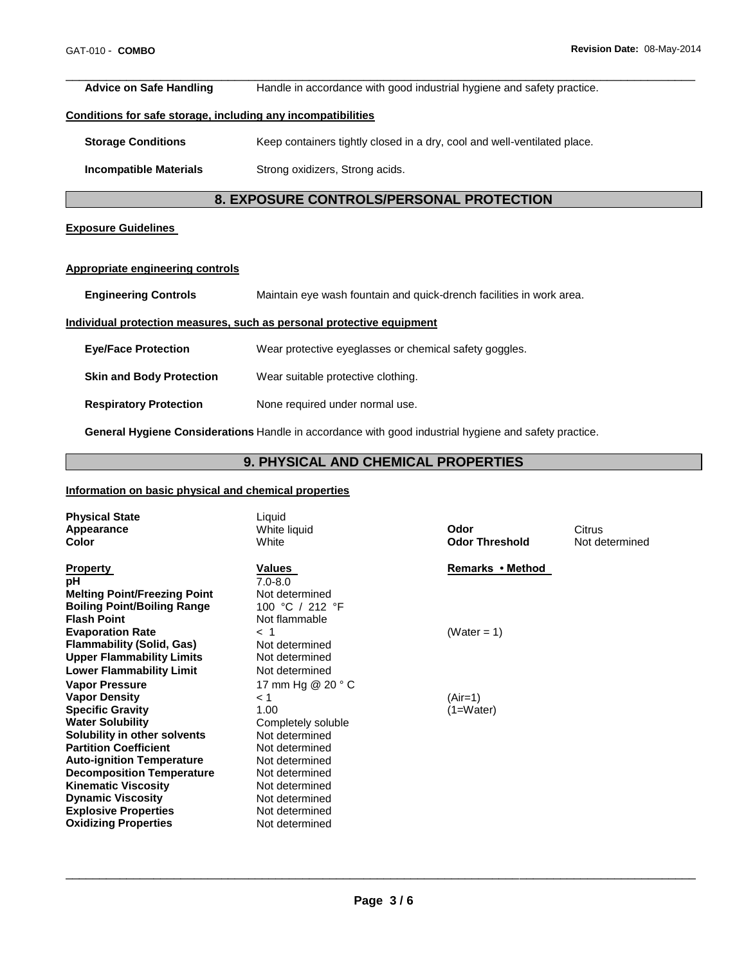\_\_\_\_\_\_\_\_\_\_\_\_\_\_\_\_\_\_\_\_\_\_\_\_\_\_\_\_\_\_\_\_\_\_\_\_\_\_\_\_\_\_\_\_\_\_\_\_\_\_\_\_\_\_\_\_\_\_\_\_\_\_\_\_\_\_\_\_\_\_\_\_\_\_\_\_\_\_\_\_\_\_\_\_\_\_\_\_\_\_\_\_\_ Advice on Safe Handling **Handle in accordance with good industrial hygiene and safety practice. Conditions for safe storage, including any incompatibilities Storage Conditions Keep containers tightly closed in a dry, cool and well-ventilated place. Incompatible Materials Strong oxidizers, Strong acids. 8. EXPOSURE CONTROLS/PERSONAL PROTECTION Exposure Guidelines Appropriate engineering controls Engineering Controls** Maintain eye wash fountain and quick-drench facilities in work area. **Individual protection measures, such as personal protective equipment Eye/Face Protection** Wear protective eyeglasses or chemical safety goggles.

- **Skin and Body Protection** Wear suitable protective clothing.
- **Respiratory Protection None required under normal use.**

**General Hygiene Considerations** Handle in accordance with good industrial hygiene and safety practice.

#### **9. PHYSICAL AND CHEMICAL PROPERTIES**

#### **Information on basic physical and chemical properties**

| <b>Physical State</b>               | Liquid             |                       |                |
|-------------------------------------|--------------------|-----------------------|----------------|
| Appearance                          | White liquid       | Odor                  | Citrus         |
| <b>Color</b>                        | White              | <b>Odor Threshold</b> | Not determined |
|                                     | Values             | Remarks • Method      |                |
| <b>Property</b>                     | $7.0 - 8.0$        |                       |                |
| рH                                  |                    |                       |                |
| <b>Melting Point/Freezing Point</b> | Not determined     |                       |                |
| <b>Boiling Point/Boiling Range</b>  | 100 °C / 212 °F    |                       |                |
| <b>Flash Point</b>                  | Not flammable      |                       |                |
| <b>Evaporation Rate</b>             | $<$ 1              | (Water = 1)           |                |
| <b>Flammability (Solid, Gas)</b>    | Not determined     |                       |                |
| <b>Upper Flammability Limits</b>    | Not determined     |                       |                |
| <b>Lower Flammability Limit</b>     | Not determined     |                       |                |
| <b>Vapor Pressure</b>               | 17 mm Hg @ 20 ° C  |                       |                |
| <b>Vapor Density</b>                | < 1                | (Air=1)               |                |
| <b>Specific Gravity</b>             | 1.00               | $(1=Water)$           |                |
| <b>Water Solubility</b>             | Completely soluble |                       |                |
| Solubility in other solvents        | Not determined     |                       |                |
| <b>Partition Coefficient</b>        | Not determined     |                       |                |
| <b>Auto-ignition Temperature</b>    | Not determined     |                       |                |
| <b>Decomposition Temperature</b>    | Not determined     |                       |                |
| <b>Kinematic Viscosity</b>          | Not determined     |                       |                |
| <b>Dynamic Viscosity</b>            | Not determined     |                       |                |
| <b>Explosive Properties</b>         | Not determined     |                       |                |
| <b>Oxidizing Properties</b>         | Not determined     |                       |                |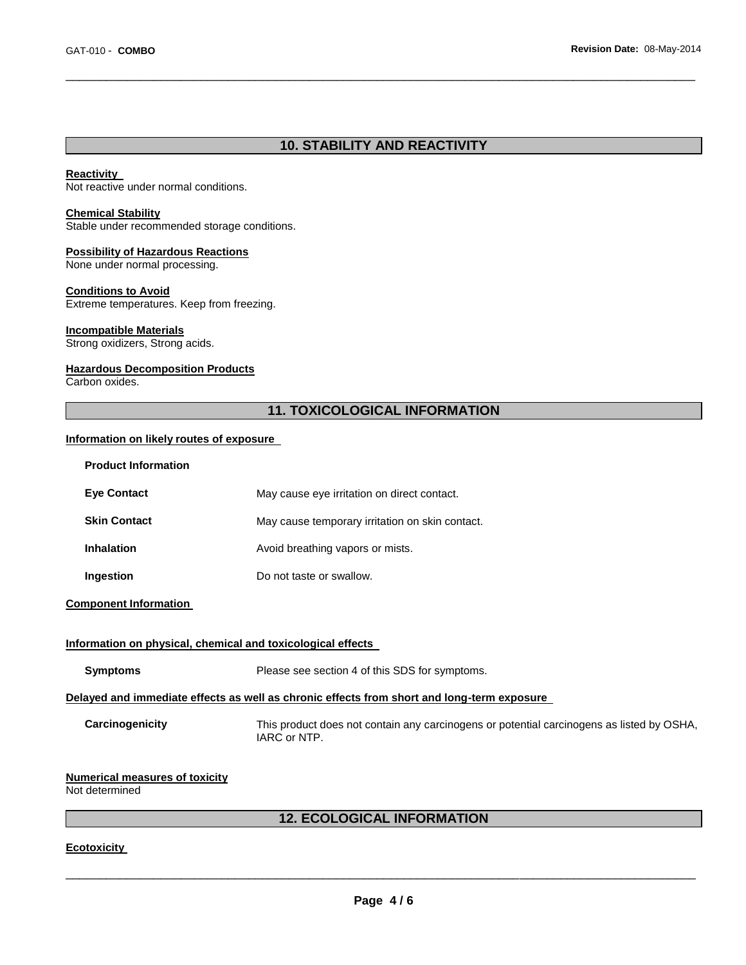# **10. STABILITY AND REACTIVITY**

\_\_\_\_\_\_\_\_\_\_\_\_\_\_\_\_\_\_\_\_\_\_\_\_\_\_\_\_\_\_\_\_\_\_\_\_\_\_\_\_\_\_\_\_\_\_\_\_\_\_\_\_\_\_\_\_\_\_\_\_\_\_\_\_\_\_\_\_\_\_\_\_\_\_\_\_\_\_\_\_\_\_\_\_\_\_\_\_\_\_\_\_\_

#### **Reactivity**

Not reactive under normal conditions.

#### **Chemical Stability**

Stable under recommended storage conditions.

#### **Possibility of Hazardous Reactions**

None under normal processing.

#### **Conditions to Avoid**

Extreme temperatures. Keep from freezing.

#### **Incompatible Materials**

Strong oxidizers, Strong acids.

#### **Hazardous Decomposition Products**

Carbon oxides.

# **11. TOXICOLOGICAL INFORMATION**

#### **Information on likely routes of exposure**

| <b>Product Information</b> |                                                 |
|----------------------------|-------------------------------------------------|
| <b>Eve Contact</b>         | May cause eye irritation on direct contact.     |
| <b>Skin Contact</b>        | May cause temporary irritation on skin contact. |
| <b>Inhalation</b>          | Avoid breathing vapors or mists.                |
| Ingestion                  | Do not taste or swallow.                        |

#### **Component Information**

#### **Information on physical, chemical and toxicological effects**

| <b>Symptoms</b>                | Please see section 4 of this SDS for symptoms.                                                            |
|--------------------------------|-----------------------------------------------------------------------------------------------------------|
|                                | Delayed and immediate effects as well as chronic effects from short and long-term exposure                |
| Carcinogenicity                | This product does not contain any carcinogens or potential carcinogens as listed by OSHA,<br>IARC or NTP. |
| Numorical moacures of toxicity |                                                                                                           |

# **Numerical measures of toxicity**

Not determined

# **12. ECOLOGICAL INFORMATION**

#### **Ecotoxicity**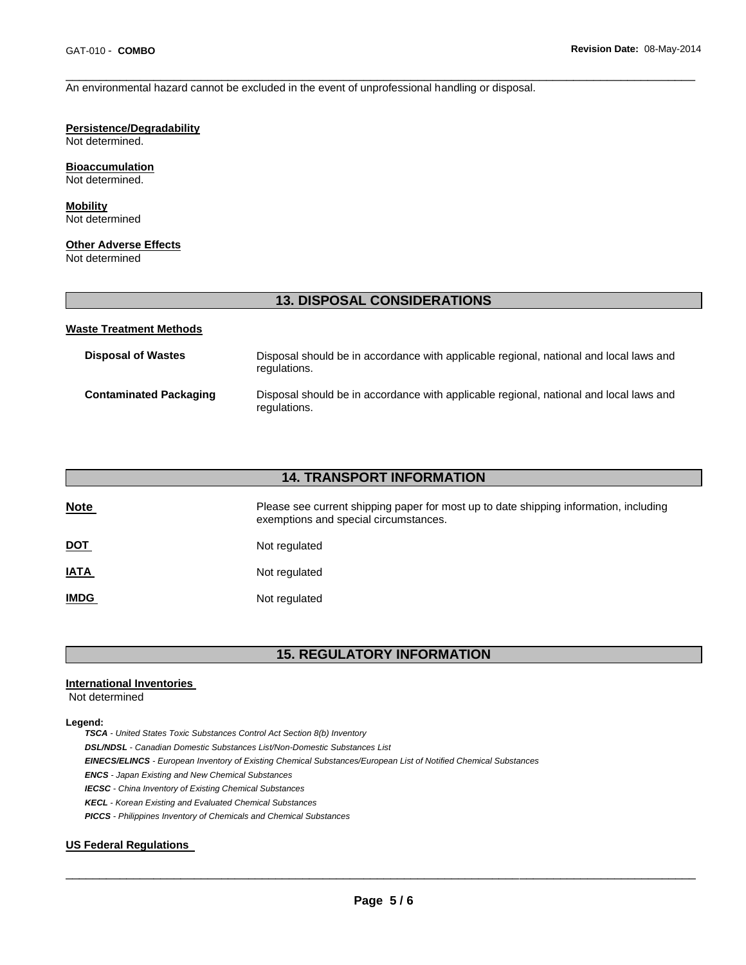An environmental hazard cannot be excluded in the event of unprofessional handling or disposal.

#### **Persistence/Degradability**

Not determined.

#### **Bioaccumulation**

Not determined.

**Mobility** Not determined

#### **Other Adverse Effects**

Not determined

# **13. DISPOSAL CONSIDERATIONS Waste Treatment Methods Disposal of Wastes** Disposal should be in accordance with applicable regional, national and local laws and regulations. **Contaminated Packaging** Disposal should be in accordance with applicable regional, national and local laws and regulations.

\_\_\_\_\_\_\_\_\_\_\_\_\_\_\_\_\_\_\_\_\_\_\_\_\_\_\_\_\_\_\_\_\_\_\_\_\_\_\_\_\_\_\_\_\_\_\_\_\_\_\_\_\_\_\_\_\_\_\_\_\_\_\_\_\_\_\_\_\_\_\_\_\_\_\_\_\_\_\_\_\_\_\_\_\_\_\_\_\_\_\_\_\_

# **14. TRANSPORT INFORMATION**

| <b>Note</b> | Please see current shipping paper for most up to date shipping information, including<br>exemptions and special circumstances. |
|-------------|--------------------------------------------------------------------------------------------------------------------------------|
| <u>DOT</u>  | Not regulated                                                                                                                  |
| <b>IATA</b> | Not regulated                                                                                                                  |
| <u>IMDG</u> | Not regulated                                                                                                                  |

# **15. REGULATORY INFORMATION**

#### **International Inventories**

Not determined

#### **Legend:**

*TSCA - United States Toxic Substances Control Act Section 8(b) Inventory* 

*DSL/NDSL - Canadian Domestic Substances List/Non-Domestic Substances List* 

*EINECS/ELINCS - European Inventory of Existing Chemical Substances/European List of Notified Chemical Substances* 

*ENCS - Japan Existing and New Chemical Substances* 

*IECSC - China Inventory of Existing Chemical Substances* 

*KECL - Korean Existing and Evaluated Chemical Substances* 

*PICCS - Philippines Inventory of Chemicals and Chemical Substances* 

#### **US Federal Regulations**